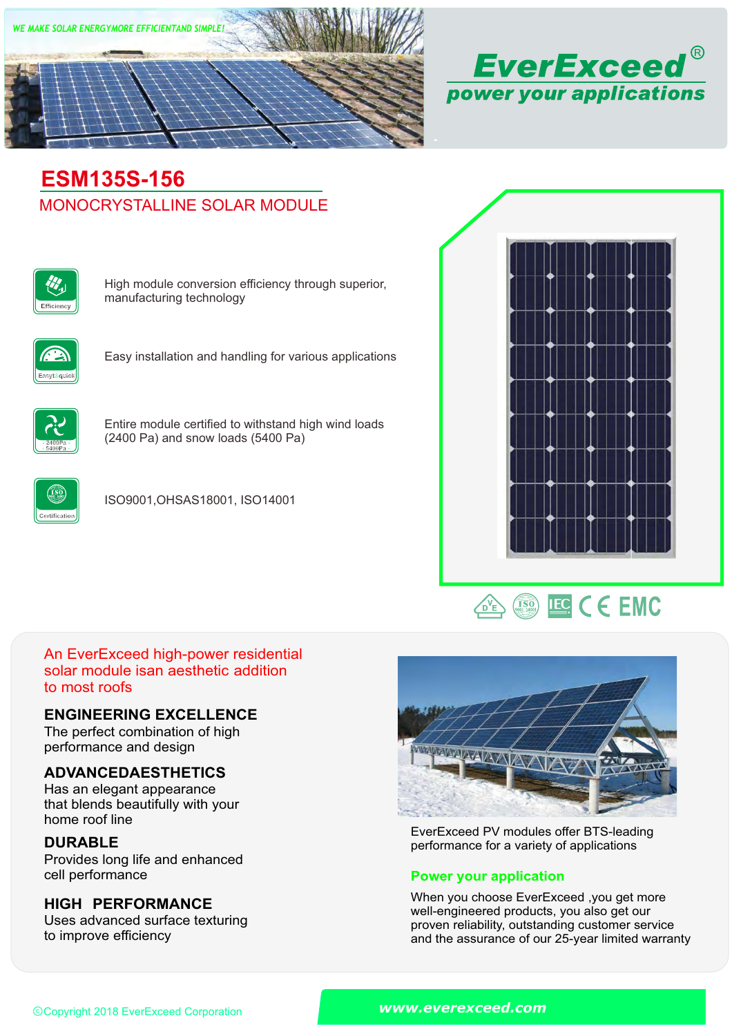



# MONOCRYSTALLINE SOLAR MODULE **ESM135S-156**



High module conversion efficiency through superior, manufacturing technology



Easy installation and handling for various applications



Entire module certified to withstand high wind loads (2400 Pa) and snow loads (5400 Pa)



ISO9001,OHSAS18001, ISO14001





# An EverExceed high-power residential solar module isan aesthetic addition to most roofs

### **ENGINEERING EXCELLENCE**

The perfect combination of high performance and design

# **ADVANCEDAESTHETICS**

Has an elegant appearance that blends beautifully with your home roof line

# **DURABLE**

Provides long life and enhanced<br>cell performance

# **HIGH PERFORMANCE**

Uses advanced surface texturing to improve efficiency



EverExceed PV modules offer BTS-leading performance for a variety of applications

### **Power your application**

When you choose EverExceed ,you get more well-engineered products, you also get our proven reliability, outstanding customer service and the assurance of our 25-year limited warranty